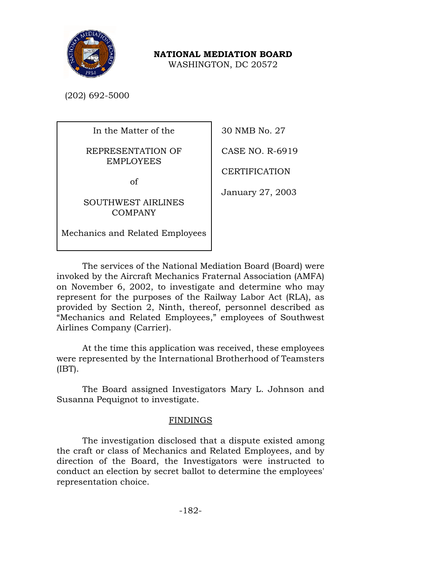

**NATIONAL MEDIATION BOARD** 

WASHINGTON, DC 20572

(202) 692-5000

In the Matter of the

REPRESENTATION OF EMPLOYEES

of

SOUTHWEST AIRLINES COMPANY

Mechanics and Related Employees

30 NMB No. 27

CASE NO. R-6919

CERTIFICATION

January 27, 2003

The services of the National Mediation Board (Board) were invoked by the Aircraft Mechanics Fraternal Association (AMFA) on November 6, 2002, to investigate and determine who may represent for the purposes of the Railway Labor Act (RLA), as provided by Section 2, Ninth, thereof, personnel described as "Mechanics and Related Employees," employees of Southwest Airlines Company (Carrier).

At the time this application was received, these employees were represented by the International Brotherhood of Teamsters  $(IBT)$ .

The Board assigned Investigators Mary L. Johnson and Susanna Pequignot to investigate.

## FINDINGS

The investigation disclosed that a dispute existed among the craft or class of Mechanics and Related Employees, and by direction of the Board, the Investigators were instructed to conduct an election by secret ballot to determine the employees' representation choice.